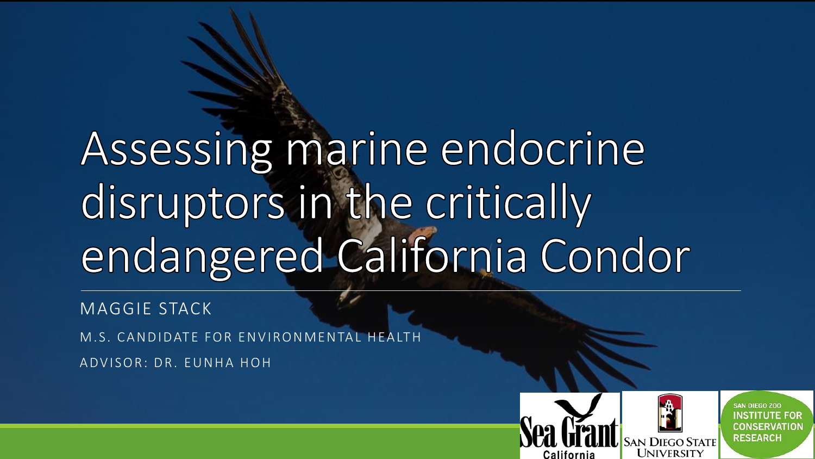# Assessing marine endocrine disruptors in the critically endangered California Condor

MAGGIE STACK

M.S. CANDIDATE FOR ENVIRONMENTAL HEALTH ADVISOR: DR. EUNHA HOH

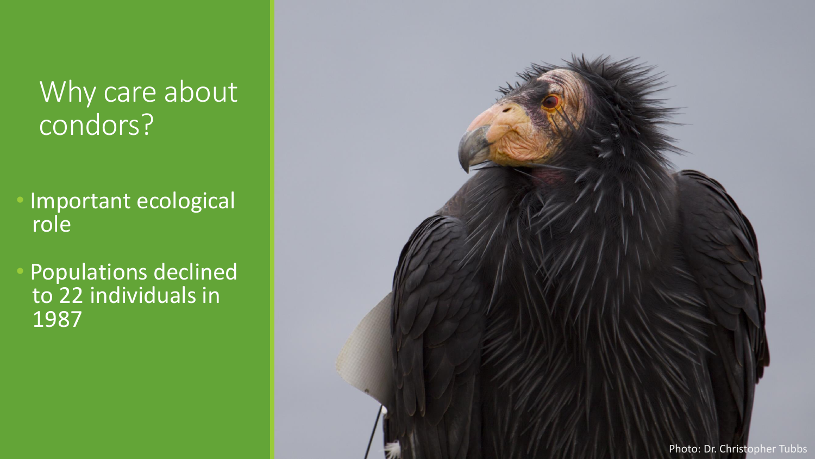### Why care about condors?

- Important ecological role
- Populations declined to 22 individuals in 1987

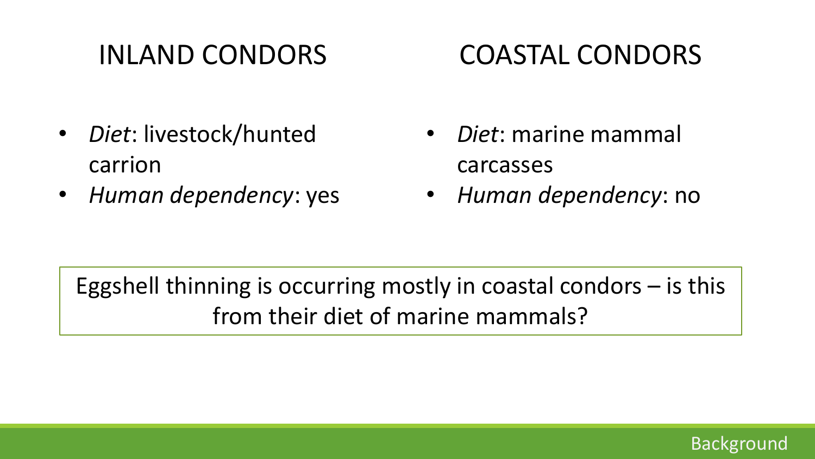### INLAND CONDORS

- *Diet*: livestock/hunted carrion
- *Human dependency*: yes

### COASTAL CONDORS

- *Diet*: marine mammal carcasses
- *Human dependency*: no

### Eggshell thinning is occurring mostly in coastal condors – is this from their diet of marine mammals?

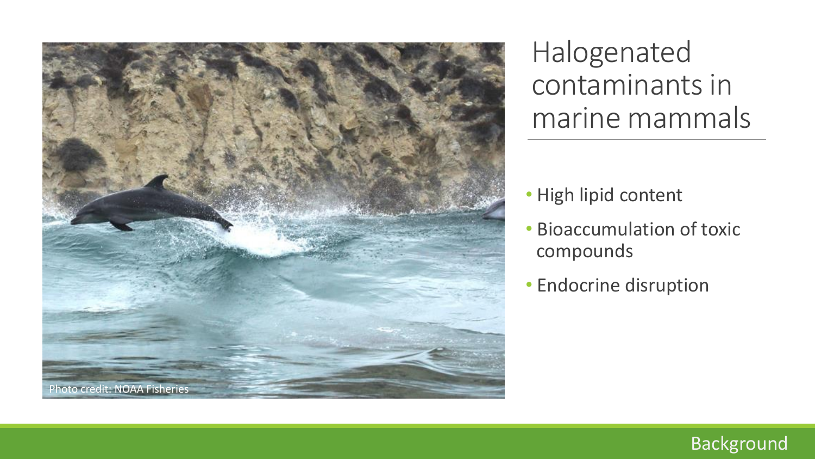

Halogenated contaminants in marine mammals

- High lipid content
- Bioaccumulation of toxic compounds
- Endocrine disruption

#### Background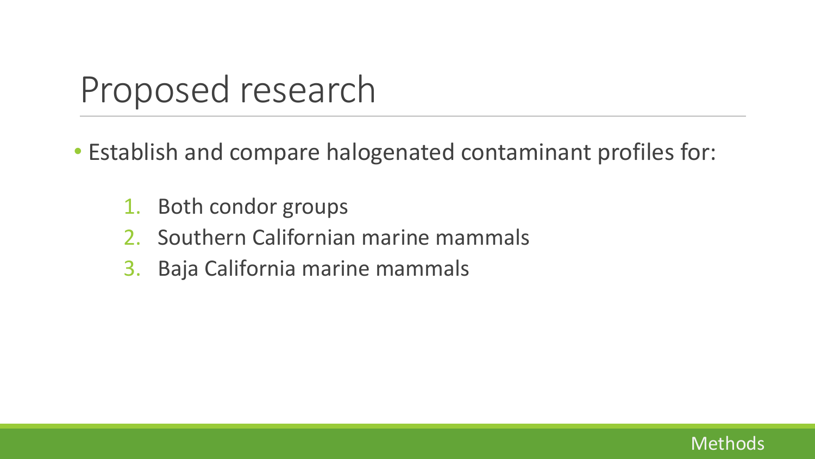## Proposed research

- Establish and compare halogenated contaminant profiles for:
	- 1. Both condor groups
	- 2. Southern Californian marine mammals
	- 3. Baja California marine mammals

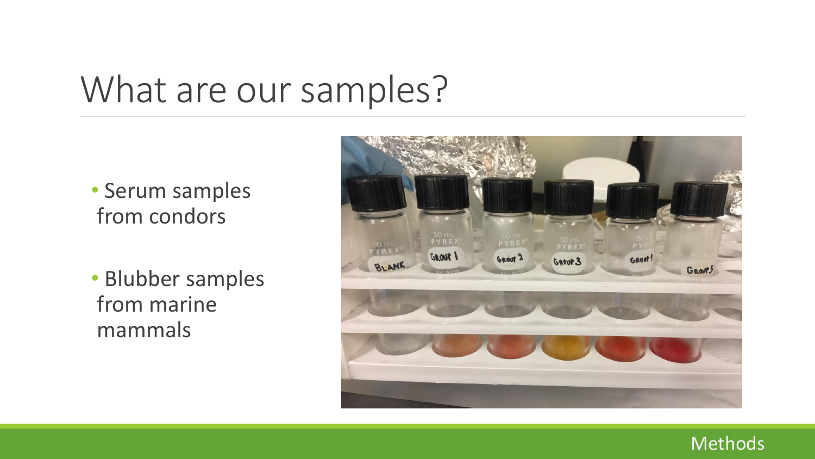## What are our samples?

• Serum samples from condors

• Blubber samples from marine mammals



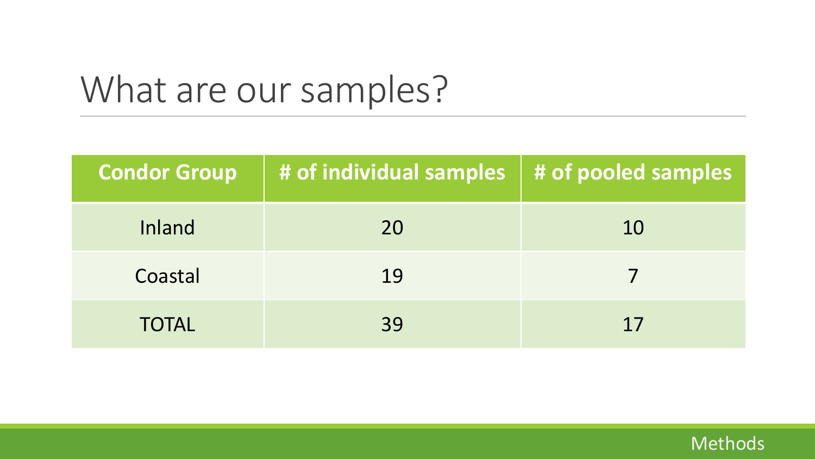## What are our samples?

| <b>Condor Group</b> | # of individual samples $ $ # of pooled samples |    |
|---------------------|-------------------------------------------------|----|
| Inland              | 20                                              | 10 |
| Coastal             | 19                                              |    |
| <b>TOTAL</b>        | 39                                              | 17 |

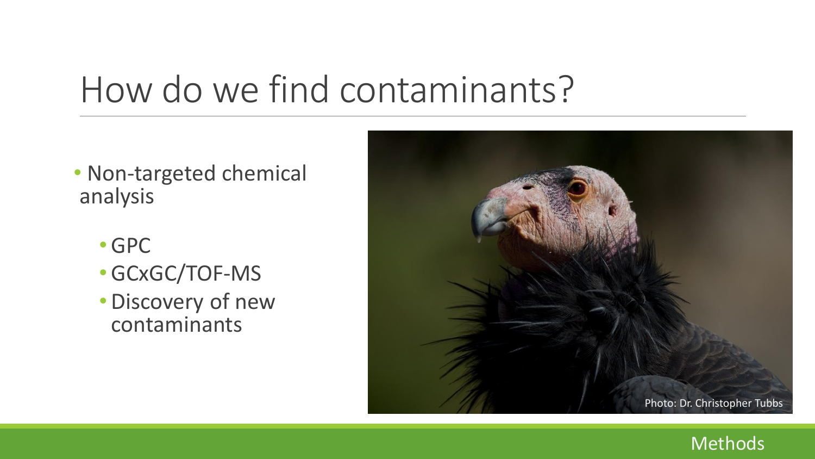## How do we find contaminants?

- Non-targeted chemical analysis
	- GPC
	- GCxGC/TOF-MS
	- Discovery of new contaminants



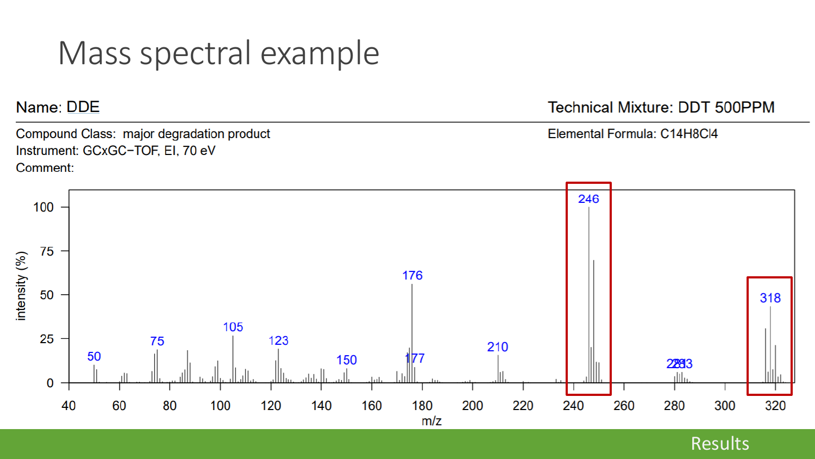### Mass spectral example

#### Name: DDE

Compound Class: major degradation product  $\frac{1}{2}$  photo of halogenation patterns of broad change and change and change and change and change and change and change and change and change and change and change and change and change and change and change and change Comment:

#### **Technical Mixture: DDT 500PPM**

Elemental Formula: C14H8Cl4



Results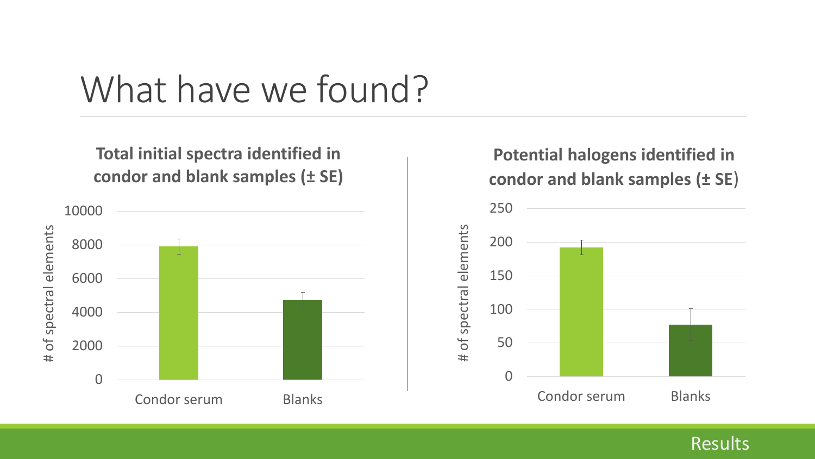## What have we found?

**Total initial spectra identified in condor and blank samples (± SE)**



**Potential halogens identified in condor and blank samples (± SE**)



Results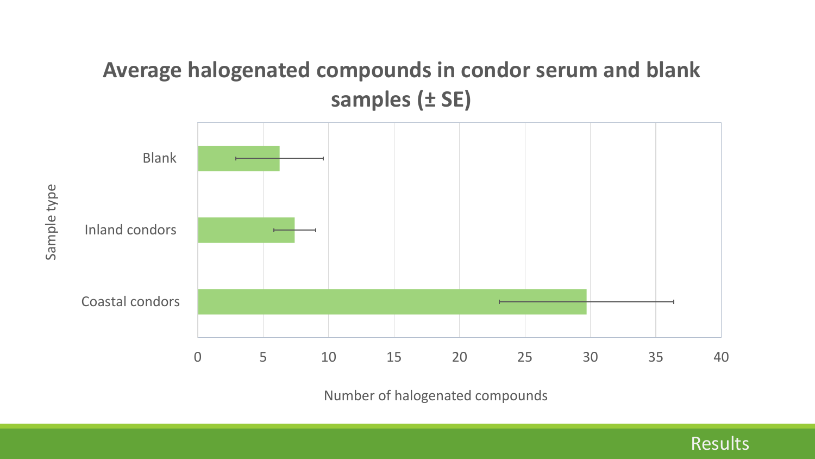### **Average halogenated compounds in condor serum and blank samples (± SE)**



Number of halogenated compounds

Sample type

#### Results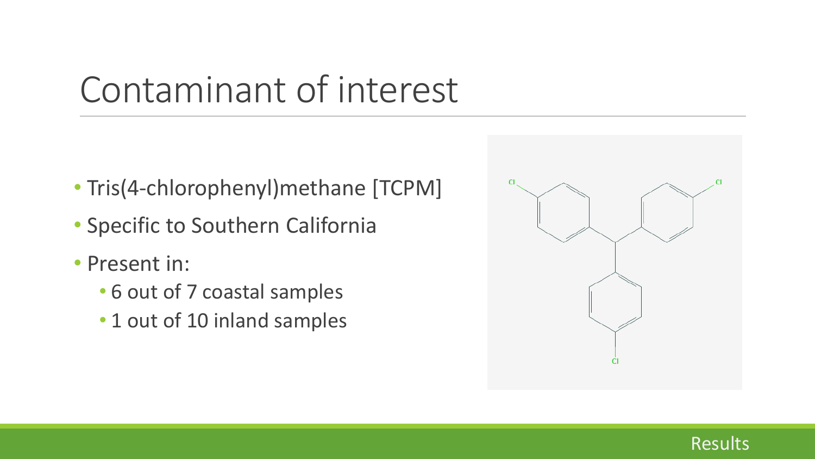## Contaminant of interest

- Tris(4-chlorophenyl)methane [TCPM]
- Specific to Southern California
- Present in:
	- 6 out of 7 coastal samples
	- 1 out of 10 inland samples



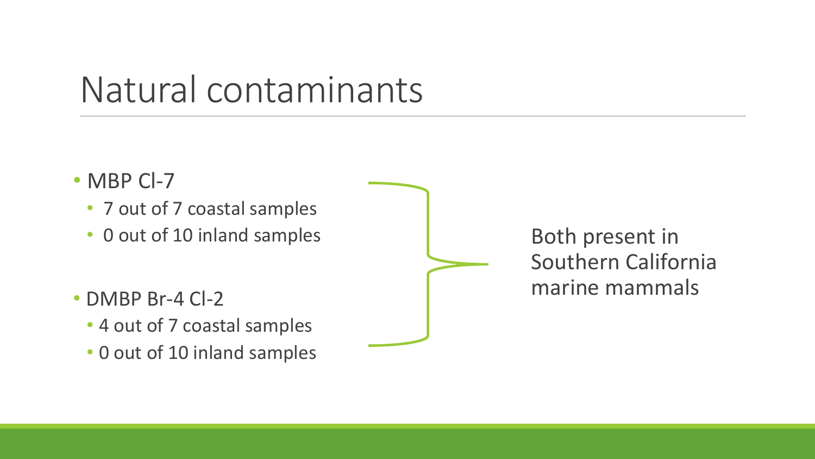## Natural contaminants

- MBP Cl-7
	- 7 out of 7 coastal samples
	- 0 out of 10 inland samples
- DMBP Br-4 Cl-2
	- 4 out of 7 coastal samples
	- 0 out of 10 inland samples

Both present in Southern California marine mammals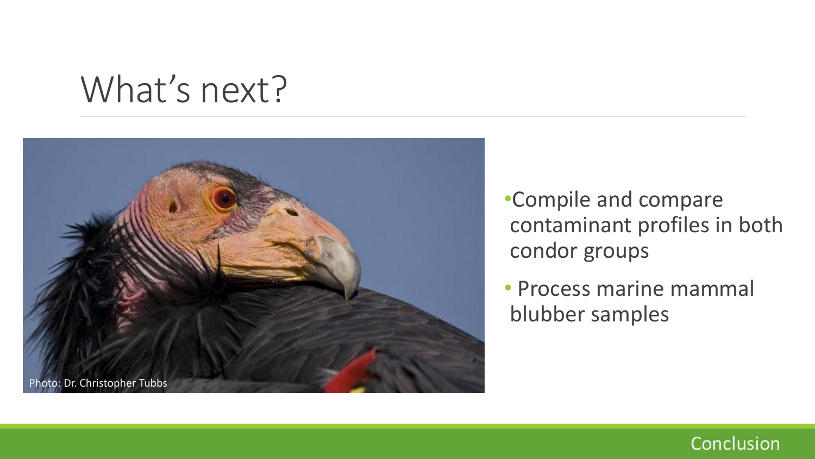What's next?



•Compile and compare contaminant profiles in both condor groups

• Process marine mammal blubber samples

#### Conclusion